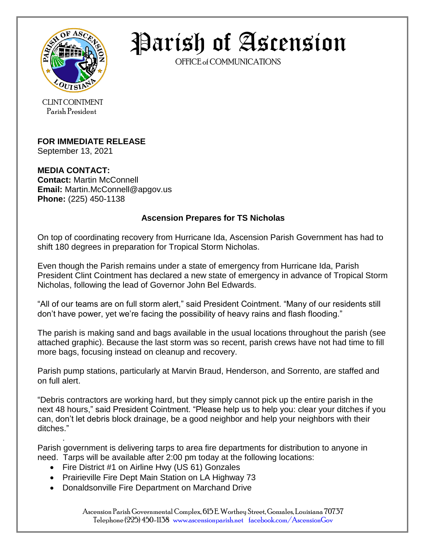

Parish of Ascension

OFFICE of COMMUNICATIONS

CLINT COINTMENT Parish President

## **FOR IMMEDIATE RELEASE**

September 13, 2021

## **MEDIA CONTACT:**

**Contact:** Martin McConnell **Email:** Martin.McConnell@apgov.us **Phone:** (225) 450-1138

## **Ascension Prepares for TS Nicholas**

On top of coordinating recovery from Hurricane Ida, Ascension Parish Government has had to shift 180 degrees in preparation for Tropical Storm Nicholas.

Even though the Parish remains under a state of emergency from Hurricane Ida, Parish President Clint Cointment has declared a new state of emergency in advance of Tropical Storm Nicholas, following the lead of Governor John Bel Edwards.

"All of our teams are on full storm alert," said President Cointment. "Many of our residents still don't have power, yet we're facing the possibility of heavy rains and flash flooding."

The parish is making sand and bags available in the usual locations throughout the parish (see attached graphic). Because the last storm was so recent, parish crews have not had time to fill more bags, focusing instead on cleanup and recovery.

Parish pump stations, particularly at Marvin Braud, Henderson, and Sorrento, are staffed and on full alert.

"Debris contractors are working hard, but they simply cannot pick up the entire parish in the next 48 hours," said President Cointment. "Please help us to help you: clear your ditches if you can, don't let debris block drainage, be a good neighbor and help your neighbors with their ditches."

. Parish government is delivering tarps to area fire departments for distribution to anyone in need. Tarps will be available after 2:00 pm today at the following locations:

- Fire District #1 on Airline Hwy (US 61) Gonzales
- Prairieville Fire Dept Main Station on LA Highway 73
- Donaldsonville Fire Department on Marchand Drive